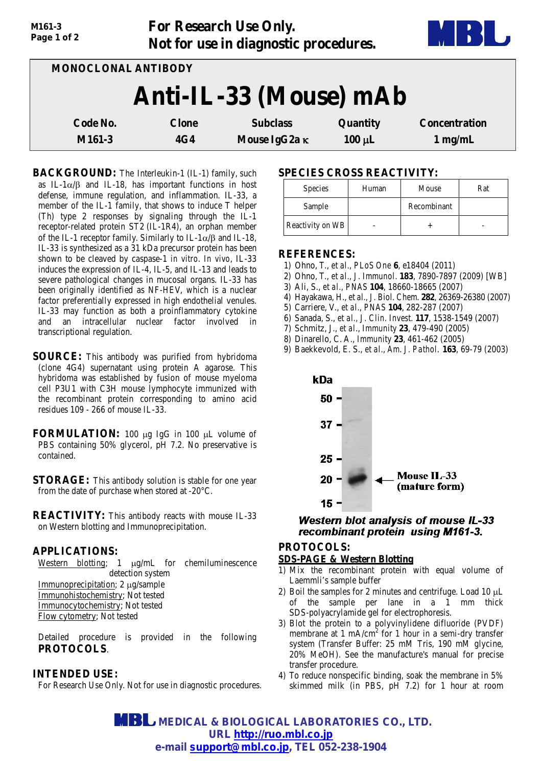| Page 1 of 2         |                                 | Not for use in diagnostic procedures.   |                         | D                                 |
|---------------------|---------------------------------|-----------------------------------------|-------------------------|-----------------------------------|
| MONOCLONAL ANTIBODY |                                 |                                         |                         |                                   |
|                     |                                 | Anti-IL-33 (Mouse) mAb                  |                         |                                   |
| Code No.<br>M161-3  | <b>Clone</b><br>4G <sub>4</sub> | <b>Subclass</b><br>Mouse IgG2a $\kappa$ | Quantity<br>$100 \mu L$ | <b>Concentration</b><br>$1$ mg/mL |
|                     |                                 |                                         |                         |                                   |

**For Research Use Only.**

**BACKGROUND:** The Interleukin-1 (IL-1) family, such as IL-1 $\alpha/\beta$  and IL-18, has important functions in host defense, immune regulation, and inflammation. IL-33, a member of the IL-1 family, that shows to induce T helper (Th) type 2 responses by signaling through the IL-1 receptor-related protein ST2 (IL-1R4), an orphan member of the IL-1 receptor family. Similarly to IL-1 $\alpha$ / $\beta$  and IL-18, IL-33 is synthesized as a 31 kDa precursor protein has been shown to be cleaved by caspase-1 *in vitro*. *In vivo*, IL-33 induces the expression of IL-4, IL-5, and IL-13 and leads to severe pathological changes in mucosal organs. IL-33 has been originally identified as NF-HEV, which is a nuclear factor preferentially expressed in high endothelial venules. IL-33 may function as both a proinflammatory cytokine and an intracellular nuclear factor involved in transcriptional regulation.

- **SOURCE:** This antibody was purified from hybridoma (clone 4G4) supernatant using protein A agarose. This hybridoma was established by fusion of mouse myeloma cell P3U1 with C3H mouse lymphocyte immunized with the recombinant protein corresponding to amino acid residues  $109 - 266$  of mouse IL-33.
- **FORMULATION:** 100 µg IgG in 100 µL volume of PBS containing 50% glycerol, pH 7.2. No preservative is contained.
- **STORAGE:** This antibody solution is stable for one year from the date of purchase when stored at -20°C.
- **REACTIVITY:** This antibody reacts with mouse IL-33 on Western blotting and Immunoprecipitation.

# **APPLICATIONS:**

*M161-3*

Western blotting; 1  $\mu$ g/mL for chemiluminescence detection system

Immunoprecipitation; 2 µg/sample Immunohistochemistry; Not tested Immunocytochemistry; Not tested Flow cytometry; Not tested

Detailed procedure is provided in the following **PROTOCOLS**.

## **INTENDED USE:**

For Research Use Only. Not for use in diagnostic procedures.

# **SPECIES CROSS REACTIVITY:**

| Species          | Human | Mouse       | Rat |
|------------------|-------|-------------|-----|
| Sample           |       | Recombinant |     |
| Reactivity on WB |       |             |     |

#### **REFERENCES:**

- 1) Ohno, T., *et al., PLoS One* **6**, e18404 (2011)
- 2) Ohno, T., *et al., J. Immunol*. **183**, 7890-7897 (2009) [WB]
- 3) Ali, S., *et al., PNAS* **104**, 18660-18665 (2007)
- 4) Hayakawa, H., *et al., J. Biol. Chem*. **282**, 26369-26380 (2007)
- 5) Carriere, V., *et al., PNAS* **104**, 282-287 (2007)
- 6) Sanada, S., *et al., J. Clin. Invest*. **117**, 1538-1549 (2007)
- 7) Schmitz, J., *et al*., *Immunity* **23**, 479-490 (2005)
- 8) Dinarello, C. A., *Immunity* **23**, 461-462 (2005)
- 9) Baekkevold, E. S., *et al., Am. J. Pathol*. **163**, 69-79 (2003)



# **Western blot analysis of mouse IL-33** recombinant protein using M161-3.

## **PROTOCOLS:**

# **SDS-PAGE & Western Blotting**

- 1) Mix the recombinant protein with equal volume of Laemmli's sample buffer
- 2) Boil the samples for 2 minutes and centrifuge. Load  $10 \mu L$ of the sample per lane in a 1 mm thick SDS-polyacrylamide gel for electrophoresis.
- 3) Blot the protein to a polyvinylidene difluoride (PVDF) membrane at 1 mA/cm<sup>2</sup> for 1 hour in a semi-dry transfer system (Transfer Buffer: 25 mM Tris, 190 mM glycine, 20% MeOH). See the manufacture's manual for precise transfer procedure.
- 4) To reduce nonspecific binding, soak the membrane in 5% skimmed milk (in PBS, pH 7.2) for 1 hour at room

 **MEDICAL & BIOLOGICAL LABORATORIES CO., LTD. URL [http://ruo.mbl.co.jp](http://ruo.mbl.co.jp/) e-mail [support@mbl.co.jp,](mailto:support@mbl.co.jp) TEL 052-238-1904**